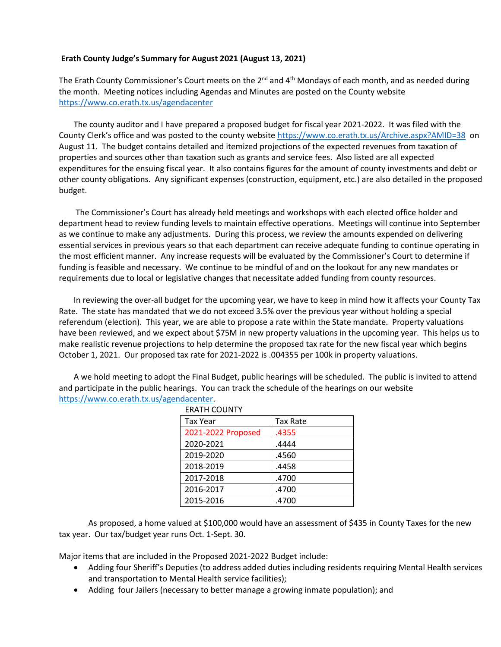## **Erath County Judge's Summary for August 2021 (August 13, 2021)**

The Erath County Commissioner's Court meets on the 2<sup>nd</sup> and 4<sup>th</sup> Mondays of each month, and as needed during the month. Meeting notices including Agendas and Minutes are posted on the County website <https://www.co.erath.tx.us/agendacenter>

The county auditor and I have prepared a proposed budget for fiscal year 2021-2022. It was filed with the County Clerk's office and was posted to the county website<https://www.co.erath.tx.us/Archive.aspx?AMID=38> on August 11. The budget contains detailed and itemized projections of the expected revenues from taxation of properties and sources other than taxation such as grants and service fees. Also listed are all expected expenditures for the ensuing fiscal year. It also contains figures for the amount of county investments and debt or other county obligations. Any significant expenses (construction, equipment, etc.) are also detailed in the proposed budget.

The Commissioner's Court has already held meetings and workshops with each elected office holder and department head to review funding levels to maintain effective operations. Meetings will continue into September as we continue to make any adjustments. During this process, we review the amounts expended on delivering essential services in previous years so that each department can receive adequate funding to continue operating in the most efficient manner. Any increase requests will be evaluated by the Commissioner's Court to determine if funding is feasible and necessary. We continue to be mindful of and on the lookout for any new mandates or requirements due to local or legislative changes that necessitate added funding from county resources.

In reviewing the over-all budget for the upcoming year, we have to keep in mind how it affects your County Tax Rate. The state has mandated that we do not exceed 3.5% over the previous year without holding a special referendum (election). This year, we are able to propose a rate within the State mandate. Property valuations have been reviewed, and we expect about \$75M in new property valuations in the upcoming year. This helps us to make realistic revenue projections to help determine the proposed tax rate for the new fiscal year which begins October 1, 2021. Our proposed tax rate for 2021-2022 is .004355 per 100k in property valuations.

A we hold meeting to adopt the Final Budget, public hearings will be scheduled. The public is invited to attend and participate in the public hearings. You can track the schedule of the hearings on our website [https://www.co.erath.tx.us/agendacenter.](https://www.co.erath.tx.us/agendacenter)

| ERATH COUNTY       |                 |
|--------------------|-----------------|
| <b>Tax Year</b>    | <b>Tax Rate</b> |
| 2021-2022 Proposed | .4355           |
| 2020-2021          | .4444           |
| 2019-2020          | .4560           |
| 2018-2019          | .4458           |
| 2017-2018          | .4700           |
| 2016-2017          | .4700           |
| 2015-2016          | .4700           |

ERATH COUNTY

As proposed, a home valued at \$100,000 would have an assessment of \$435 in County Taxes for the new tax year. Our tax/budget year runs Oct. 1-Sept. 30.

Major items that are included in the Proposed 2021-2022 Budget include:

- Adding four Sheriff's Deputies (to address added duties including residents requiring Mental Health services and transportation to Mental Health service facilities);
- Adding four Jailers (necessary to better manage a growing inmate population); and